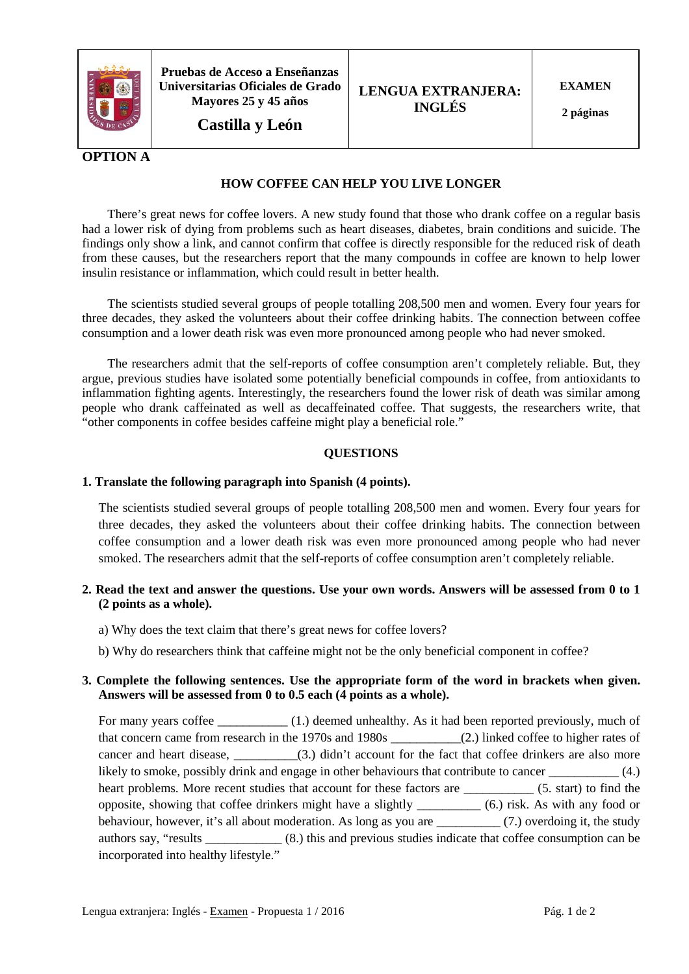

**Pruebas de Acceso a Enseñanzas Universitarias Oficiales de Grado Mayores 25 y 45 años**

**Castilla y León**

**EXAMEN**

**2 páginas**

# **OPTION A**

# **HOW COFFEE CAN HELP YOU LIVE LONGER**

 There's great news for coffee lovers. A new study found that those who drank coffee on a regular basis had a lower risk of dying from problems such as heart diseases, diabetes, brain conditions and suicide. The findings only show a link, and cannot confirm that coffee is directly responsible for the reduced risk of death from these causes, but the researchers report that the many compounds in coffee are known to help lower insulin resistance or inflammation, which could result in better health.

 The scientists studied several groups of people totalling 208,500 men and women. Every four years for three decades, they asked the volunteers about their coffee drinking habits. The connection between coffee consumption and a lower death risk was even more pronounced among people who had never smoked.

 The researchers admit that the self-reports of coffee consumption aren't completely reliable. But, they argue, previous studies have isolated some potentially beneficial compounds in coffee, from antioxidants to inflammation fighting agents. Interestingly, the researchers found the lower risk of death was similar among people who drank caffeinated as well as decaffeinated coffee. That suggests, the researchers write, that "other components in coffee besides caffeine might play a beneficial role."

# **QUESTIONS**

#### **1. Translate the following paragraph into Spanish (4 points).**

The scientists studied several groups of people totalling 208,500 men and women. Every four years for three decades, they asked the volunteers about their coffee drinking habits. The connection between coffee consumption and a lower death risk was even more pronounced among people who had never smoked. The researchers admit that the self-reports of coffee consumption aren't completely reliable.

# **2. Read the text and answer the questions. Use your own words. Answers will be assessed from 0 to 1 (2 points as a whole).**

- a) Why does the text claim that there's great news for coffee lovers?
- b) Why do researchers think that caffeine might not be the only beneficial component in coffee?

# **3. Complete the following sentences. Use the appropriate form of the word in brackets when given. Answers will be assessed from 0 to 0.5 each (4 points as a whole).**

For many years coffee \_\_\_\_\_\_\_\_\_\_\_ (1.) deemed unhealthy. As it had been reported previously, much of that concern came from research in the 1970s and 1980s \_\_\_\_\_\_\_\_\_\_\_(2.) linked coffee to higher rates of cancer and heart disease, \_\_\_\_\_\_\_\_\_\_(3.) didn't account for the fact that coffee drinkers are also more likely to smoke, possibly drink and engage in other behaviours that contribute to cancer \_\_\_\_\_\_\_\_\_\_\_ (4.) heart problems. More recent studies that account for these factors are \_\_\_\_\_\_\_\_\_\_\_\_\_ (5. start) to find the opposite, showing that coffee drinkers might have a slightly \_\_\_\_\_\_\_\_\_\_ (6.) risk. As with any food or behaviour, however, it's all about moderation. As long as you are \_\_\_\_\_\_\_\_\_\_ (7.) overdoing it, the study authors say, "results \_\_\_\_\_\_\_\_\_\_\_\_ (8.) this and previous studies indicate that coffee consumption can be incorporated into healthy lifestyle."